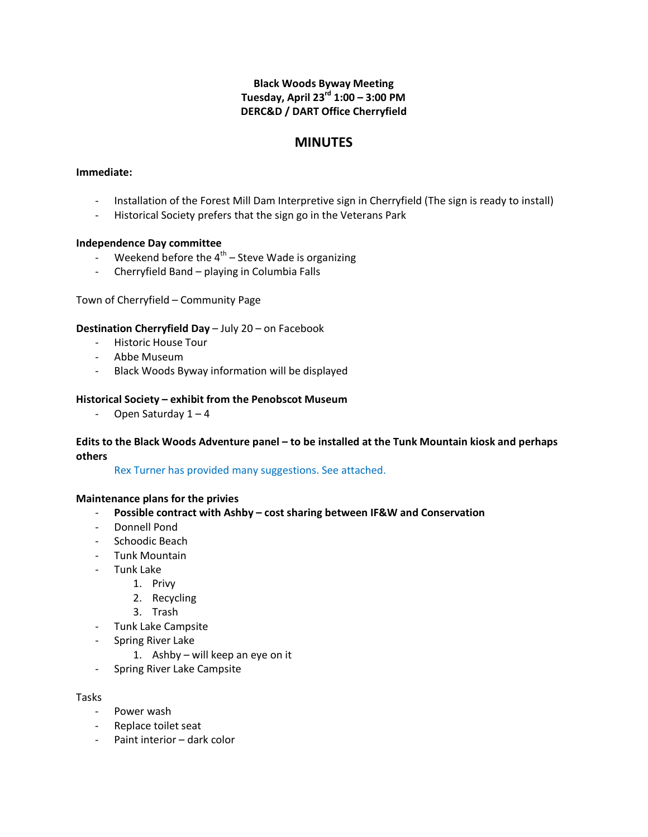## **Black Woods Byway Meeting Tuesday, April 23rd 1:00 – 3:00 PM DERC&D / DART Office Cherryfield**

# **MINUTES**

## **Immediate:**

- Installation of the Forest Mill Dam Interpretive sign in Cherryfield (The sign is ready to install)
- Historical Society prefers that the sign go in the Veterans Park

#### **Independence Day committee**

- Weekend before the  $4^{th}$  Steve Wade is organizing
- Cherryfield Band playing in Columbia Falls

## Town of Cherryfield – Community Page

## **Destination Cherryfield Day** – July 20 – on Facebook

- Historic House Tour
- Abbe Museum
- Black Woods Byway information will be displayed

## **Historical Society – exhibit from the Penobscot Museum**

- Open Saturday  $1 - 4$ 

## **Edits to the Black Woods Adventure panel – to be installed at the Tunk Mountain kiosk and perhaps others**

Rex Turner has provided many suggestions. See attached.

## **Maintenance plans for the privies**

- **Possible contract with Ashby – cost sharing between IF&W and Conservation**
- Donnell Pond
- Schoodic Beach
- Tunk Mountain
- Tunk Lake
	- 1. Privy
		- 2. Recycling
		- 3. Trash
- Tunk Lake Campsite
- Spring River Lake
	- 1. Ashby will keep an eye on it
- Spring River Lake Campsite

#### Tasks

- Power wash
- Replace toilet seat
- Paint interior dark color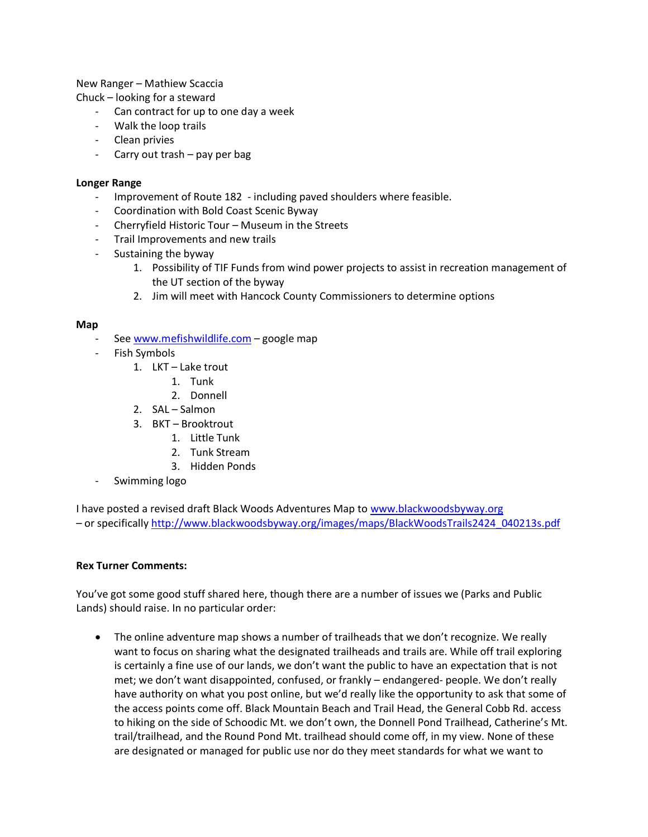New Ranger – Mathiew Scaccia

Chuck – looking for a steward

- Can contract for up to one day a week
- Walk the loop trails
- Clean privies
- Carry out trash pay per bag

#### **Longer Range**

- Improvement of Route 182 including paved shoulders where feasible.
- Coordination with Bold Coast Scenic Byway
- Cherryfield Historic Tour Museum in the Streets
- Trail Improvements and new trails
- Sustaining the byway
	- 1. Possibility of TIF Funds from wind power projects to assist in recreation management of the UT section of the byway
	- 2. Jim will meet with Hancock County Commissioners to determine options

#### **Map**

- See [www.mefishwildlife.com](http://www.mefishwildlife.com/) google map
- Fish Symbols
	- 1. LKT Lake trout
		- 1. Tunk
		- 2. Donnell
	- 2. SAL Salmon
	- 3. BKT Brooktrout
		- 1. Little Tunk
		- 2. Tunk Stream
		- 3. Hidden Ponds
- Swimming logo

I have posted a revised draft Black Woods Adventures Map to [www.blackwoodsbyway.org](http://www.blackwoodsbyway.org/) – or specifically [http://www.blackwoodsbyway.org/images/maps/BlackWoodsTrails2424\\_040213s.pdf](http://www.blackwoodsbyway.org/images/maps/BlackWoodsTrails2424_040213s.pdf)

## **Rex Turner Comments:**

You've got some good stuff shared here, though there are a number of issues we (Parks and Public Lands) should raise. In no particular order:

• The online adventure map shows a number of trailheads that we don't recognize. We really want to focus on sharing what the designated trailheads and trails are. While off trail exploring is certainly a fine use of our lands, we don't want the public to have an expectation that is not met; we don't want disappointed, confused, or frankly – endangered- people. We don't really have authority on what you post online, but we'd really like the opportunity to ask that some of the access points come off. Black Mountain Beach and Trail Head, the General Cobb Rd. access to hiking on the side of Schoodic Mt. we don't own, the Donnell Pond Trailhead, Catherine's Mt. trail/trailhead, and the Round Pond Mt. trailhead should come off, in my view. None of these are designated or managed for public use nor do they meet standards for what we want to